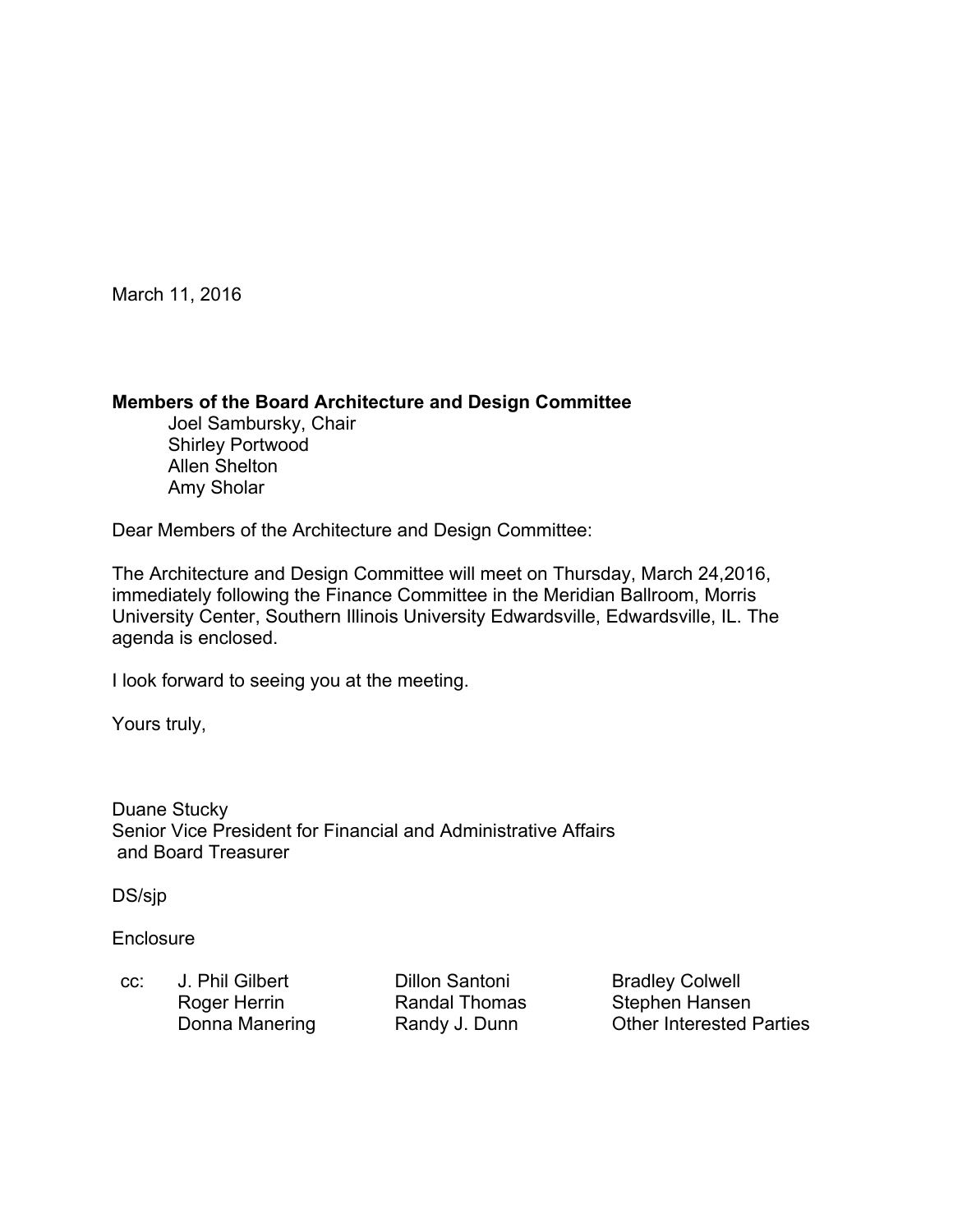March 11, 2016

#### **Members of the Board Architecture and Design Committee**

 Joel Sambursky, Chair Shirley Portwood Allen Shelton Amy Sholar

Dear Members of the Architecture and Design Committee:

The Architecture and Design Committee will meet on Thursday, March 24,2016, immediately following the Finance Committee in the Meridian Ballroom, Morris University Center, Southern Illinois University Edwardsville, Edwardsville, IL. The agenda is enclosed.

I look forward to seeing you at the meeting.

Yours truly,

Duane Stucky Senior Vice President for Financial and Administrative Affairs and Board Treasurer

DS/sjp

**Enclosure** 

cc: J. Phil Gilbert Dillon Santoni Bradley Colwell Roger Herrin **Randal Thomas** Stephen Hansen

Donna Manering **Randy J. Dunn** Other Interested Parties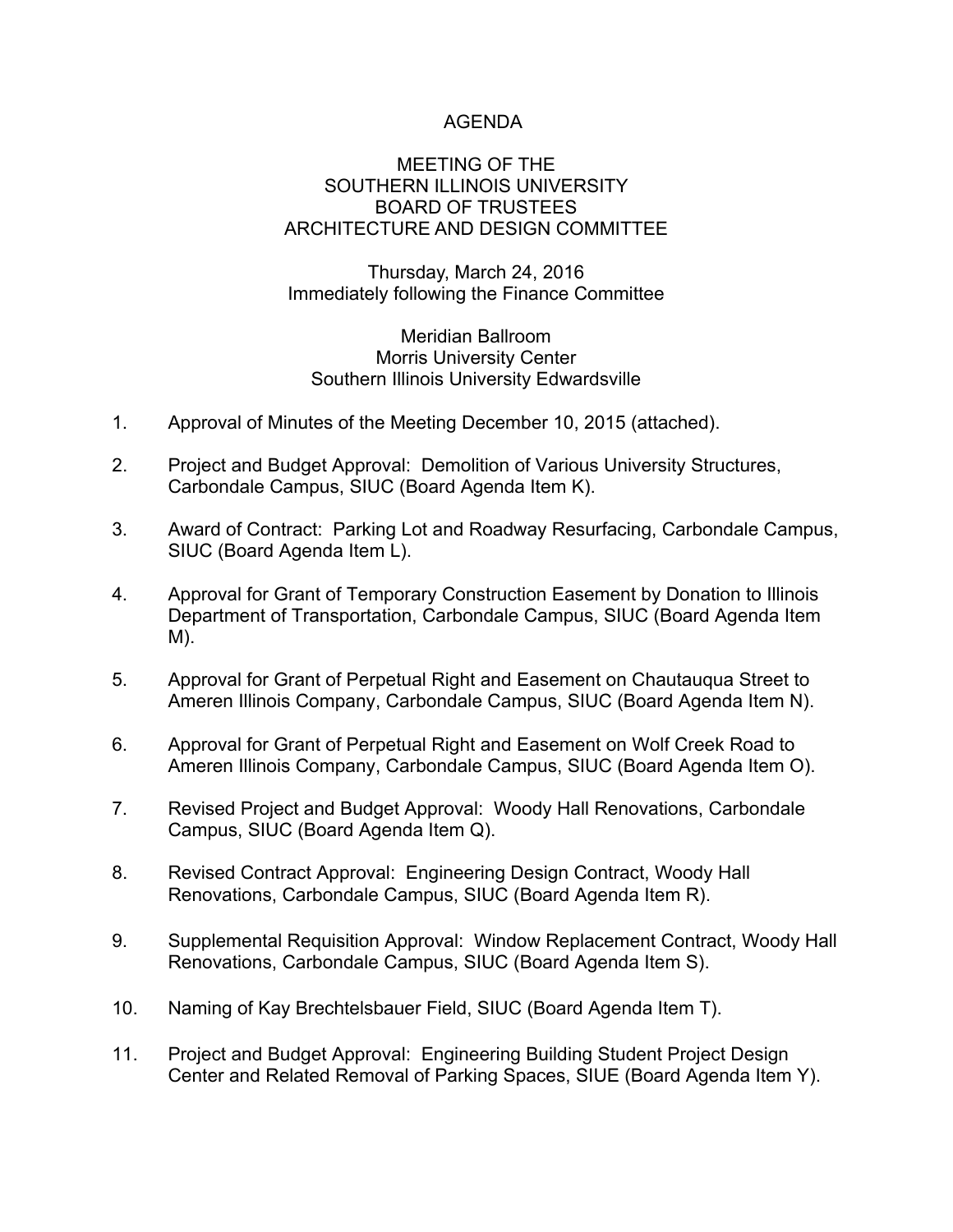# AGENDA

#### MEETING OF THE SOUTHERN ILLINOIS UNIVERSITY BOARD OF TRUSTEES ARCHITECTURE AND DESIGN COMMITTEE

Thursday, March 24, 2016 Immediately following the Finance Committee

#### Meridian Ballroom Morris University Center Southern Illinois University Edwardsville

- 1. Approval of Minutes of the Meeting December 10, 2015 (attached).
- 2. Project and Budget Approval: Demolition of Various University Structures, Carbondale Campus, SIUC (Board Agenda Item K).
- 3. Award of Contract: Parking Lot and Roadway Resurfacing, Carbondale Campus, SIUC (Board Agenda Item L).
- 4. Approval for Grant of Temporary Construction Easement by Donation to Illinois Department of Transportation, Carbondale Campus, SIUC (Board Agenda Item M).
- 5. Approval for Grant of Perpetual Right and Easement on Chautauqua Street to Ameren Illinois Company, Carbondale Campus, SIUC (Board Agenda Item N).
- 6. Approval for Grant of Perpetual Right and Easement on Wolf Creek Road to Ameren Illinois Company, Carbondale Campus, SIUC (Board Agenda Item O).
- 7. Revised Project and Budget Approval: Woody Hall Renovations, Carbondale Campus, SIUC (Board Agenda Item Q).
- 8. Revised Contract Approval: Engineering Design Contract, Woody Hall Renovations, Carbondale Campus, SIUC (Board Agenda Item R).
- 9. Supplemental Requisition Approval: Window Replacement Contract, Woody Hall Renovations, Carbondale Campus, SIUC (Board Agenda Item S).
- 10. Naming of Kay Brechtelsbauer Field, SIUC (Board Agenda Item T).
- 11. Project and Budget Approval: Engineering Building Student Project Design Center and Related Removal of Parking Spaces, SIUE (Board Agenda Item Y).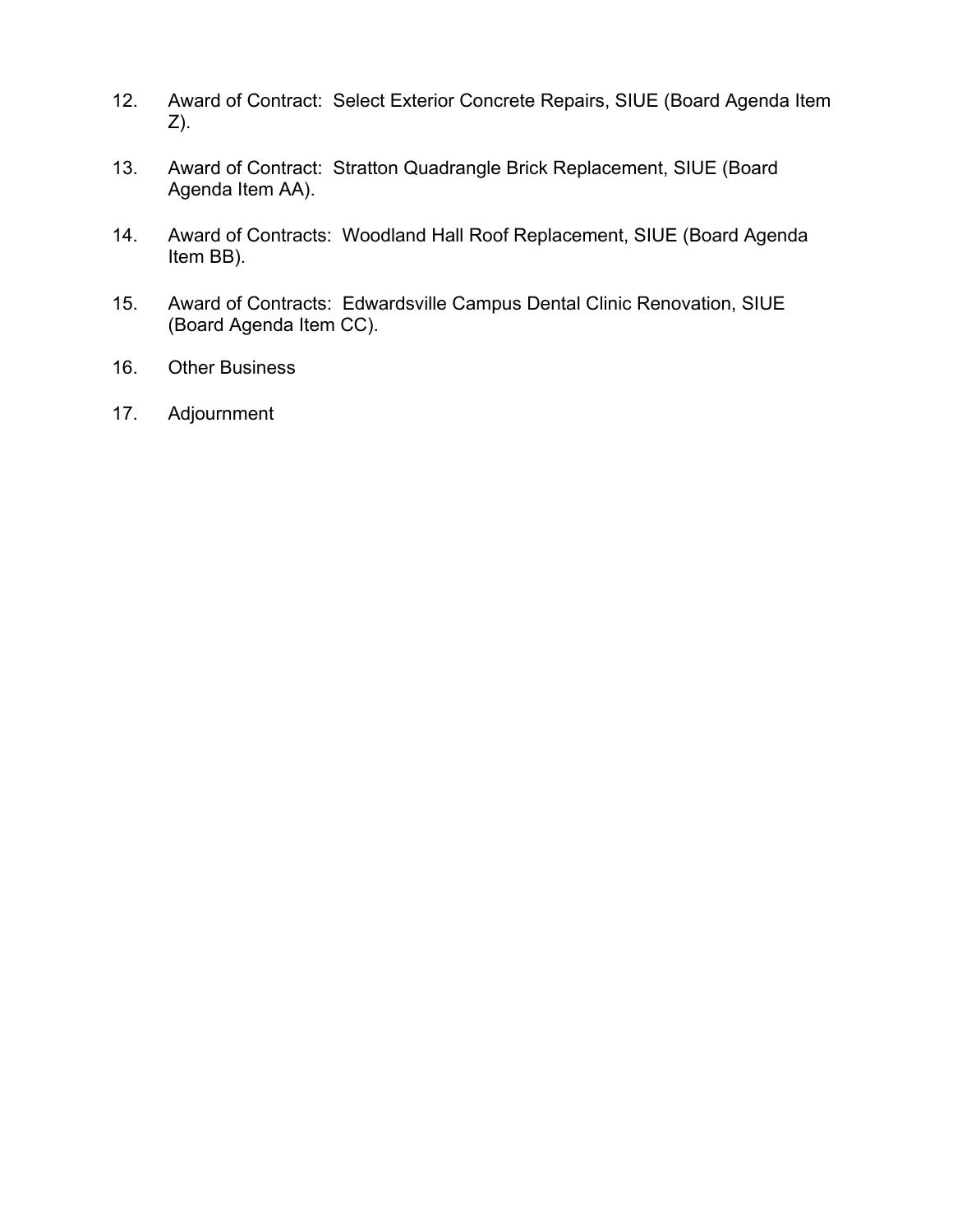- 12. Award of Contract: Select Exterior Concrete Repairs, SIUE (Board Agenda Item Z).
- 13. Award of Contract: Stratton Quadrangle Brick Replacement, SIUE (Board Agenda Item AA).
- 14. Award of Contracts: Woodland Hall Roof Replacement, SIUE (Board Agenda Item BB).
- 15. Award of Contracts: Edwardsville Campus Dental Clinic Renovation, SIUE (Board Agenda Item CC).
- 16. Other Business
- 17. Adjournment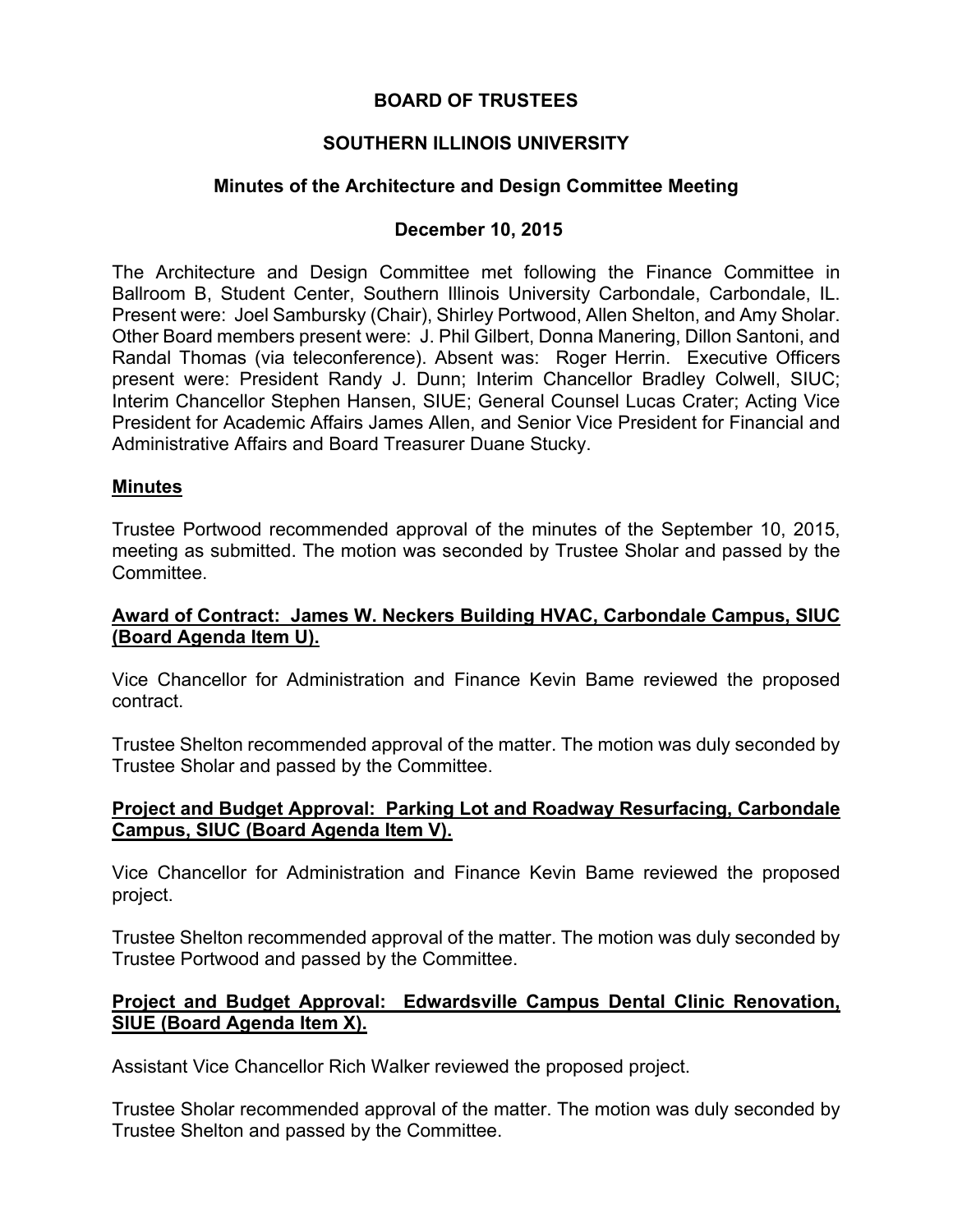# **BOARD OF TRUSTEES**

# **SOUTHERN ILLINOIS UNIVERSITY**

# **Minutes of the Architecture and Design Committee Meeting**

# **December 10, 2015**

The Architecture and Design Committee met following the Finance Committee in Ballroom B, Student Center, Southern Illinois University Carbondale, Carbondale, IL. Present were: Joel Sambursky (Chair), Shirley Portwood, Allen Shelton, and Amy Sholar. Other Board members present were: J. Phil Gilbert, Donna Manering, Dillon Santoni, and Randal Thomas (via teleconference). Absent was: Roger Herrin. Executive Officers present were: President Randy J. Dunn; Interim Chancellor Bradley Colwell, SIUC; Interim Chancellor Stephen Hansen, SIUE; General Counsel Lucas Crater; Acting Vice President for Academic Affairs James Allen, and Senior Vice President for Financial and Administrative Affairs and Board Treasurer Duane Stucky.

### **Minutes**

Trustee Portwood recommended approval of the minutes of the September 10, 2015, meeting as submitted. The motion was seconded by Trustee Sholar and passed by the Committee.

### **Award of Contract: James W. Neckers Building HVAC, Carbondale Campus, SIUC (Board Agenda Item U).**

Vice Chancellor for Administration and Finance Kevin Bame reviewed the proposed contract.

Trustee Shelton recommended approval of the matter. The motion was duly seconded by Trustee Sholar and passed by the Committee.

#### **Project and Budget Approval: Parking Lot and Roadway Resurfacing, Carbondale Campus, SIUC (Board Agenda Item V).**

Vice Chancellor for Administration and Finance Kevin Bame reviewed the proposed project.

Trustee Shelton recommended approval of the matter. The motion was duly seconded by Trustee Portwood and passed by the Committee.

### **Project and Budget Approval: Edwardsville Campus Dental Clinic Renovation, SIUE (Board Agenda Item X).**

Assistant Vice Chancellor Rich Walker reviewed the proposed project.

Trustee Sholar recommended approval of the matter. The motion was duly seconded by Trustee Shelton and passed by the Committee.